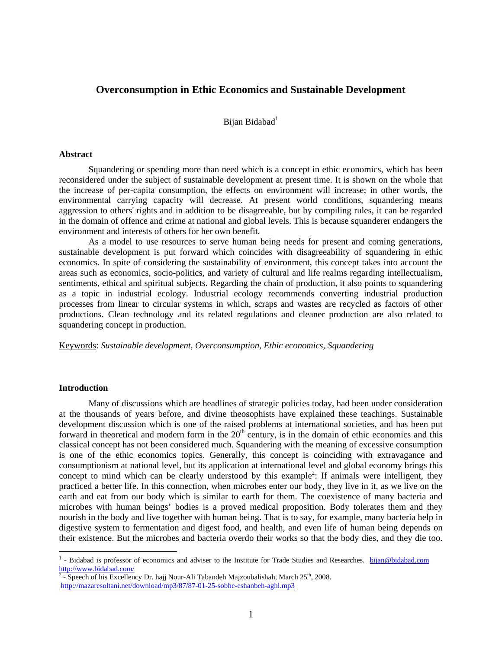# **Overconsumption in Ethic Economics and Sustainable Development**

Bijan Bidabad<sup>1</sup>

#### **Abstract**

Squandering or spending more than need which is a concept in ethic economics, which has been reconsidered under the subject of sustainable development at present time. It is shown on the whole that the increase of per-capita consumption, the effects on environment will increase; in other words, the environmental carrying capacity will decrease. At present world conditions, squandering means aggression to others' rights and in addition to be disagreeable, but by compiling rules, it can be regarded in the domain of offence and crime at national and global levels. This is because squanderer endangers the environment and interests of others for her own benefit.

As a model to use resources to serve human being needs for present and coming generations, sustainable development is put forward which coincides with disagreeability of squandering in ethic economics. In spite of considering the sustainability of environment, this concept takes into account the areas such as economics, socio-politics, and variety of cultural and life realms regarding intellectualism, sentiments, ethical and spiritual subjects. Regarding the chain of production, it also points to squandering as a topic in industrial ecology. Industrial ecology recommends converting industrial production processes from linear to circular systems in which, scraps and wastes are recycled as factors of other productions. Clean technology and its related regulations and cleaner production are also related to squandering concept in production.

Keywords: *Sustainable development, Overconsumption, Ethic economics, Squandering* 

# **Introduction**

Many of discussions which are headlines of strategic policies today, had been under consideration at the thousands of years before, and divine theosophists have explained these teachings. Sustainable development discussion which is one of the raised problems at international societies, and has been put forward in theoretical and modern form in the  $20<sup>th</sup>$  century, is in the domain of ethic economics and this classical concept has not been considered much. Squandering with the meaning of excessive consumption is one of the ethic economics topics. Generally, this concept is coinciding with extravagance and consumptionism at national level, but its application at international level and global economy brings this concept to mind which can be clearly understood by this example<sup>2</sup>: If animals were intelligent, they practiced a better life. In this connection, when microbes enter our body, they live in it, as we live on the earth and eat from our body which is similar to earth for them. The coexistence of many bacteria and microbes with human beings' bodies is a proved medical proposition. Body tolerates them and they nourish in the body and live together with human being. That is to say, for example, many bacteria help in digestive system to fermentation and digest food, and health, and even life of human being depends on their existence. But the microbes and bacteria overdo their works so that the body dies, and they die too.

<sup>&</sup>lt;sup>1</sup> - Bidabad is professor of economics and adviser to the Institute for Trade Studies and Researches. **bijan@bidabad.com**  $\frac{http://www.bidabad.com/}{2}$ 

 $\frac{1}{2}$ - Speech of his Excellency Dr. hajj Nour-Ali Tabandeh Majzoubalishah, March 25<sup>th</sup>, 2008. http://mazaresoltani.net/download/mp3/87/87-01-25-sobhe-eshanbeh-aghl.mp3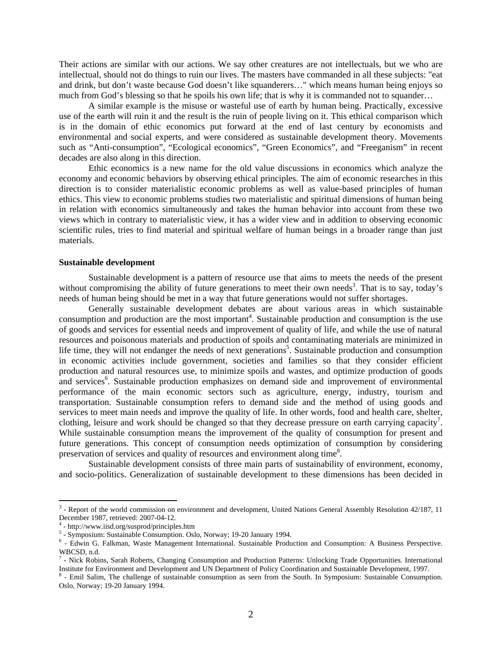Their actions are similar with our actions. We say other creatures are not intellectuals, but we who are intellectual, should not do things to ruin our lives. The masters have commanded in all these subjects: "eat and drink, but don't waste because God doesn't like squanderers…" which means human being enjoys so much from God's blessing so that he spoils his own life; that is why it is commanded not to squander...

A similar example is the misuse or wasteful use of earth by human being. Practically, excessive use of the earth will ruin it and the result is the ruin of people living on it. This ethical comparison which is in the domain of ethic economics put forward at the end of last century by economists and environmental and social experts, and were considered as sustainable development theory. Movements such as "Anti-consumption", "Ecological economics", "Green Economics", and "Freeganism" in recent decades are also along in this direction.

Ethic economics is a new name for the old value discussions in economics which analyze the economy and economic behaviors by observing ethical principles. The aim of economic researches in this direction is to consider materialistic economic problems as well as value-based principles of human ethics. This view to economic problems studies two materialistic and spiritual dimensions of human being in relation with economics simultaneously and takes the human behavior into account from these two views which in contrary to materialistic view, it has a wider view and in addition to observing economic scientific rules, tries to find material and spiritual welfare of human beings in a broader range than just materials.

### **Sustainable development**

Sustainable development is a pattern of resource use that aims to meets the needs of the present without compromising the ability of future generations to meet their own needs<sup>3</sup>. That is to say, today's needs of human being should be met in a way that future generations would not suffer shortages.

Generally sustainable development debates are about various areas in which sustainable consumption and production are the most important<sup>4</sup>. Sustainable production and consumption is the use of goods and services for essential needs and improvement of quality of life, and while the use of natural resources and poisonous materials and production of spoils and contaminating materials are minimized in life time, they will not endanger the needs of next generations<sup>5</sup>. Sustainable production and consumption in economic activities include government, societies and families so that they consider efficient production and natural resources use, to minimize spoils and wastes, and optimize production of goods and services<sup>6</sup>. Sustainable production emphasizes on demand side and improvement of environmental performance of the main economic sectors such as agriculture, energy, industry, tourism and transportation. Sustainable consumption refers to demand side and the method of using goods and services to meet main needs and improve the quality of life. In other words, food and health care, shelter, clothing, leisure and work should be changed so that they decrease pressure on earth carrying capacity<sup>7</sup>. While sustainable consumption means the improvement of the quality of consumption for present and future generations. This concept of consumption needs optimization of consumption by considering preservation of services and quality of resources and environment along time<sup>8</sup>.

Sustainable development consists of three main parts of sustainability of environment, economy, and socio-politics. Generalization of sustainable development to these dimensions has been decided in

 $\overline{a}$ 

<sup>&</sup>lt;sup>3</sup> - Report of the world commission on environment and development, United Nations General Assembly Resolution 42/187, 11 December 1987, retrieved: 2007-04-12.

<sup>&</sup>lt;sup>4</sup> - http://www.iisd.org/susprod/principles.htm

<sup>&</sup>lt;sup>5</sup> - Symposium: Sustainable Consumption. Oslo, Norway; 19-20 January 1994.

 <sup>-</sup> Edwin G. Falkman, Waste Management International. Sustainable Production and Consumption: A Business Perspective. WBCSD, n.d.

<sup>&</sup>lt;sup>7</sup> - Nick Robins, Sarah Roberts, Changing Consumption and Production Patterns: Unlocking Trade Opportunities. International Institute for Environment and Development and UN Department of Policy Coordination and Sustainable Development, 1997. 8

<sup>&</sup>lt;sup>8</sup> - Emil Salim, The challenge of sustainable consumption as seen from the South. In Symposium: Sustainable Consumption. Oslo, Norway; 19-20 January 1994.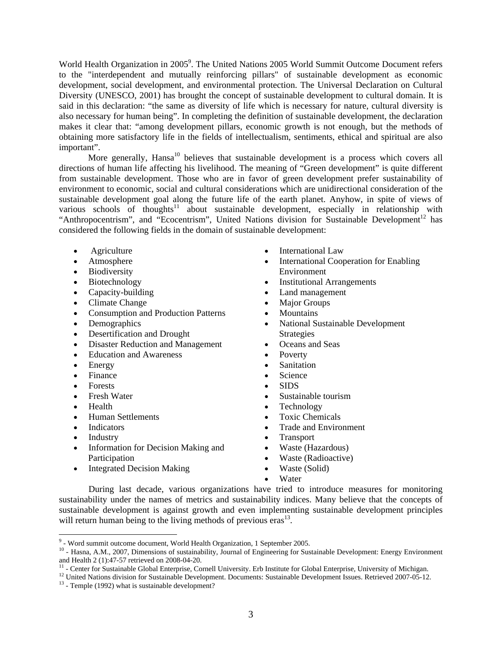World Health Organization in 2005<sup>9</sup>. The United Nations 2005 World Summit Outcome Document refers to the "interdependent and mutually reinforcing pillars" of sustainable development as economic development, social development, and environmental protection. The Universal Declaration on Cultural Diversity (UNESCO, 2001) has brought the concept of sustainable development to cultural domain. It is said in this declaration: "the same as diversity of life which is necessary for nature, cultural diversity is also necessary for human being". In completing the definition of sustainable development, the declaration makes it clear that: "among development pillars, economic growth is not enough, but the methods of obtaining more satisfactory life in the fields of intellectualism, sentiments, ethical and spiritual are also important".

More generally, Hansa<sup>10</sup> believes that sustainable development is a process which covers all directions of human life affecting his livelihood. The meaning of "Green development" is quite different from sustainable development. Those who are in favor of green development prefer sustainability of environment to economic, social and cultural considerations which are unidirectional consideration of the sustainable development goal along the future life of the earth planet. Anyhow, in spite of views of various schools of thoughts<sup>11</sup> about sustainable development, especially in relationship with "Anthropocentrism", and "Ecocentrism", United Nations division for Sustainable Development<sup>12</sup> has considered the following fields in the domain of sustainable development:

- Agriculture
- Atmosphere
- Biodiversity
- Biotechnology
- Capacity-building
- Climate Change
- Consumption and Production Patterns
- Demographics
- Desertification and Drought
- Disaster Reduction and Management
- Education and Awareness
- Energy
- Finance
- Forests
- Fresh Water
- Health
- Human Settlements
- Indicators
- Industry
- Information for Decision Making and Participation
- Integrated Decision Making
- International Law
- International Cooperation for Enabling Environment
- Institutional Arrangements
- Land management
- Major Groups
- **Mountains**
- National Sustainable Development Strategies
- Oceans and Seas
- Poverty
- Sanitation
- Science
- SIDS
- Sustainable tourism
- Technology
- Toxic Chemicals
- Trade and Environment
- Transport
- Waste (Hazardous)
- Waste (Radioactive)
- Waste (Solid)
- Water

During last decade, various organizations have tried to introduce measures for monitoring sustainability under the names of metrics and sustainability indices. Many believe that the concepts of sustainable development is against growth and even implementing sustainable development principles will return human being to the living methods of previous  $eras<sup>13</sup>$ .

<sup>-&</sup>lt;br>9

<sup>&</sup>lt;sup>10</sup> - Hasna, A.M., 2007, Dimensions of sustainability, Journal of Engineering for Sustainable Development: Energy Environment and Health 2 (1):47-57 retrieved on 2008-04-20.

 $11$  - Center for Sustainable Global Enterprise, Cornell University. Erb Institute for Global Enterprise, University of Michigan.

<sup>&</sup>lt;sup>12</sup> United Nations division for Sustainable Development. Documents: Sustainable Development Issues. Retrieved 2007-05-12.<br><sup>13</sup> - Temple (1992) what is sustainable development?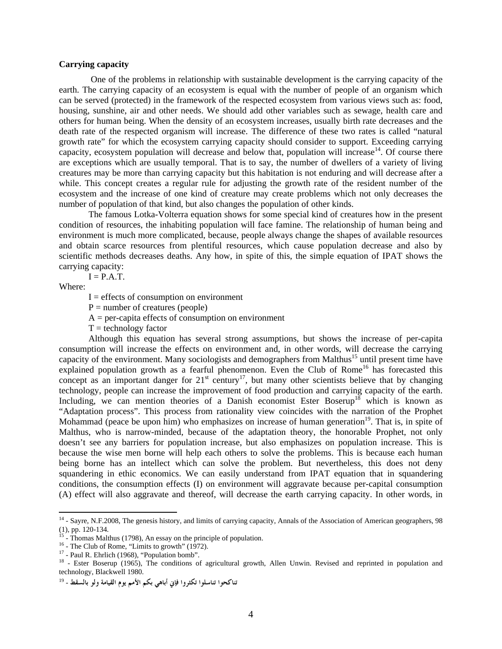# **Carrying capacity**

 One of the problems in relationship with sustainable development is the carrying capacity of the earth. The carrying capacity of an ecosystem is equal with the number of people of an organism which can be served (protected) in the framework of the respected ecosystem from various views such as: food, housing, sunshine, air and other needs. We should add other variables such as sewage, health care and others for human being. When the density of an ecosystem increases, usually birth rate decreases and the death rate of the respected organism will increase. The difference of these two rates is called "natural growth rate" for which the ecosystem carrying capacity should consider to support. Exceeding carrying capacity, ecosystem population will decrease and below that, population will increase<sup>14</sup>. Of course there are exceptions which are usually temporal. That is to say, the number of dwellers of a variety of living creatures may be more than carrying capacity but this habitation is not enduring and will decrease after a while. This concept creates a regular rule for adjusting the growth rate of the resident number of the ecosystem and the increase of one kind of creature may create problems which not only decreases the number of population of that kind, but also changes the population of other kinds.

The famous Lotka-Volterra equation shows for some special kind of creatures how in the present condition of resources, the inhabiting population will face famine. The relationship of human being and environment is much more complicated, because, people always change the shapes of available resources and obtain scarce resources from plentiful resources, which cause population decrease and also by scientific methods decreases deaths. Any how, in spite of this, the simple equation of IPAT shows the carrying capacity:

 $I = P.A.T.$ 

Where:

 $\overline{a}$ 

 $I =$  effects of consumption on environment

 $P =$  number of creatures (people)

 $A = per$ -capita effects of consumption on environment

 $T = \text{technology factor}$ 

Although this equation has several strong assumptions, but shows the increase of per-capita consumption will increase the effects on environment and, in other words, will decrease the carrying capacity of the environment. Many sociologists and demographers from Malthus<sup>15</sup> until present time have explained population growth as a fearful phenomenon. Even the Club of Rome<sup>16</sup> has forecasted this concept as an important danger for  $21^{st}$  century<sup>17</sup>, but many other scientists believe that by changing technology, people can increase the improvement of food production and carrying capacity of the earth. Including, we can mention theories of a Danish economist Ester Boserup<sup>18</sup> which is known as "Adaptation process". This process from rationality view coincides with the narration of the Prophet Mohammad (peace be upon him) who emphasizes on increase of human generation<sup>19</sup>. That is, in spite of Malthus, who is narrow-minded, because of the adaptation theory, the honorable Prophet, not only doesn't see any barriers for population increase, but also emphasizes on population increase. This is because the wise men borne will help each others to solve the problems. This is because each human being borne has an intellect which can solve the problem. But nevertheless, this does not deny squandering in ethic economics. We can easily understand from IPAT equation that in squandering conditions, the consumption effects (I) on environment will aggravate because per-capital consumption (A) effect will also aggravate and thereof, will decrease the earth carrying capacity. In other words, in

 $14$  - Sayre, N.F.2008, The genesis history, and limits of carrying capacity, Annals of the Association of American geographers, 98  $(1)$ , pp. 120-134.

<sup>&</sup>lt;sup>15</sup> - Thomas Malthus (1798), An essay on the principle of population. <sup>16</sup> - The Club of Rome, "Limits to growth" (1972).

<sup>&</sup>lt;sup>17</sup> - Paul R. Ehrlich (1968), "Population bomb".

<sup>&</sup>lt;sup>18</sup> - Ester Boserup (1965), The conditions of agricultural growth, Allen Unwin. Revised and reprinted in population and technology, Blackwell 1980.

**تناكحوا تناسلوا تكثروا فإني أباهي بكم الأمم يوم القيامة ولو بالسقط** - 19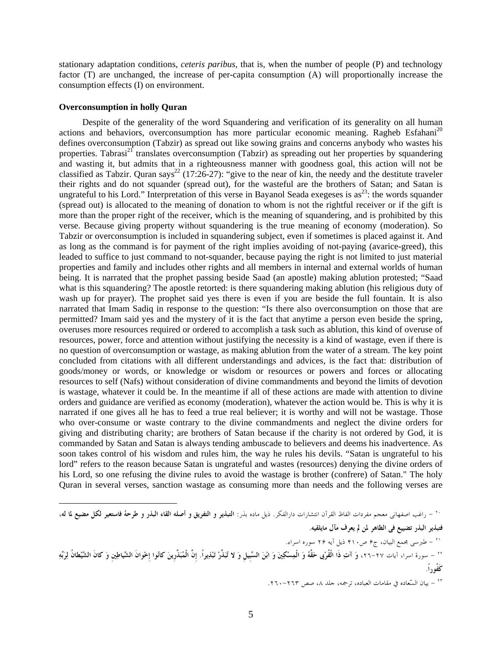stationary adaptation conditions, *ceteris paribus*, that is, when the number of people (P) and technology factor (T) are unchanged, the increase of per-capita consumption (A) will proportionally increase the consumption effects (I) on environment.

### **Overconsumption in holly Quran**

Despite of the generality of the word Squandering and verification of its generality on all human actions and behaviors, overconsumption has more particular economic meaning. Ragheb Esfahani<sup>20</sup> defines overconsumption (Tabzir) as spread out like sowing grains and concerns anybody who wastes his properties. Tabrasi<sup>21</sup> translates overconsumption (Tabzir) as spreading out her properties by squandering and wasting it, but admits that in a righteousness manner with goodness goal, this action will not be classified as Tabzir. Quran says<sup>22</sup> (17:26-27): "give to the near of kin, the needy and the destitute traveler their rights and do not squander (spread out), for the wasteful are the brothers of Satan; and Satan is ungrateful to his Lord." Interpretation of this verse in Bayanol Seada exegeses is as<sup>23</sup>: the words squander (spread out) is allocated to the meaning of donation to whom is not the rightful receiver or if the gift is more than the proper right of the receiver, which is the meaning of squandering, and is prohibited by this verse. Because giving property without squandering is the true meaning of economy (moderation). So Tabzir or overconsumption is included in squandering subject, even if sometimes is placed against it. And as long as the command is for payment of the right implies avoiding of not-paying (avarice-greed), this leaded to suffice to just command to not-squander, because paying the right is not limited to just material properties and family and includes other rights and all members in internal and external worlds of human being. It is narrated that the prophet passing beside Saad (an apostle) making ablution protested; "Saad what is this squandering? The apostle retorted: is there squandering making ablution (his religious duty of wash up for prayer). The prophet said yes there is even if you are beside the full fountain. It is also narrated that Imam Sadiq in response to the question: "Is there also overconsumption on those that are permitted? Imam said yes and the mystery of it is the fact that anytime a person even beside the spring, overuses more resources required or ordered to accomplish a task such as ablution, this kind of overuse of resources, power, force and attention without justifying the necessity is a kind of wastage, even if there is no question of overconsumption or wastage, as making ablution from the water of a stream. The key point concluded from citations with all different understandings and advices, is the fact that: distribution of goods/money or words, or knowledge or wisdom or resources or powers and forces or allocating resources to self (Nafs) without consideration of divine commandments and beyond the limits of devotion is wastage, whatever it could be. In the meantime if all of these actions are made with attention to divine orders and guidance are verified as economy (moderation), whatever the action would be. This is why it is narrated if one gives all he has to feed a true real believer; it is worthy and will not be wastage. Those who over-consume or waste contrary to the divine commandments and neglect the divine orders for giving and distributing charity; are brothers of Satan because if the charity is not ordered by God, it is commanded by Satan and Satan is always tending ambuscade to believers and deems his inadvertence. As soon takes control of his wisdom and rules him, the way he rules his devils. "Satan is ungrateful to his lord" refers to the reason because Satan is ungrateful and wastes (resources) denying the divine orders of his Lord, so one refusing the divine rules to avoid the wastage is brother (confrere) of Satan." The holy Quran in several verses, sanction wastage as consuming more than needs and the following verses are

- راغب اصفهانی معجم مفردات الفاظ القرآن انتشارات دارالفکر. ذيل ماده بذر: **التبذير <sup>و</sup> التفريق <sup>و</sup> أصله القاء البذر <sup>و</sup> طرحهُ فاستعير لکل مضيع لما له،** <sup>٢٠</sup> **فتبذير البذر تضييع فی الظاهر لمن لم يعرف مآل مايلقيه**. - طبرسی مجمع البيان، ج۶ ص۴۱۰ ذيل آيه ۲۶ سوره اسراء. <sup>٢١</sup> - سورة اسرا، آيات -٢٧ ،٢٦ **وَ آتِ ذَا الْقُرْبى حَقَّهُ وَ الْمِسْكِينَ وَ ابْنَ السَّبِيلِ وَ لا تُبَذِّرْ تَبْذِيراً. إِنَّ الْمُبَذِّرِينَ كانُوا إِخْوانَ الشَّياطِينِ وَ كانَ الشَّيْطانُ لِرَبِّهِ** <sup>٢٢</sup> **كَفُوراً.**

- بيان السّعاده في مقامات العباده، ترجمه، جلد ،٨ صص -٢٦٣ .٢٦٠ <sup>٢٣</sup>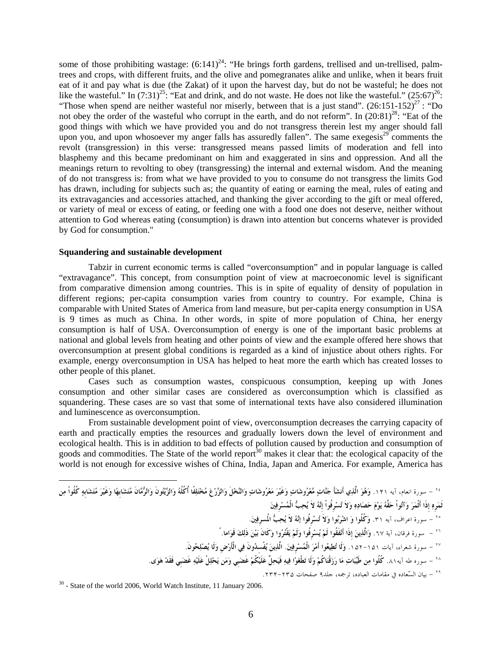some of those prohibiting wastage:  $(6:141)^{24}$ : "He brings forth gardens, trellised and un-trellised, palmtrees and crops, with different fruits, and the olive and pomegranates alike and unlike, when it bears fruit eat of it and pay what is due (the Zakat) of it upon the harvest day, but do not be wasteful; he does not like the wasteful." In  $(7:31)^{25}$ : "Eat and drink, and do not waste. He does not like the wasteful."  $(25:67)^{26}$ : "Those when spend are neither wasteful nor miserly, between that is a just stand".  $(26:151-152)^{27}$ : "Do not obey the order of the wasteful who corrupt in the earth, and do not reform". In  $(20.81)^{28}$ : "Eat of the good things with which we have provided you and do not transgress therein lest my anger should fall upon you, and upon whosoever my anger falls has assuredly fallen". The same exegesis $29^{\circ}$  comments the revolt (transgression) in this verse: transgressed means passed limits of moderation and fell into blasphemy and this became predominant on him and exaggerated in sins and oppression. And all the meanings return to revolting to obey (transgressing) the internal and external wisdom. And the meaning of do not transgress is: from what we have provided to you to consume do not transgress the limits God has drawn, including for subjects such as; the quantity of eating or earning the meal, rules of eating and its extravagancies and accessories attached, and thanking the giver according to the gift or meal offered, or variety of meal or excess of eating, or feeding one with a food one does not deserve, neither without attention to God whereas eating (consumption) is drawn into attention but concerns whatever is provided by God for consumption."

# **Squandering and sustainable development**

Tabzir in current economic terms is called "overconsumption" and in popular language is called "extravagance". This concept, from consumption point of view at macroeconomic level is significant from comparative dimension among countries. This is in spite of equality of density of population in different regions; per-capita consumption varies from country to country. For example, China is comparable with United States of America from land measure, but per-capita energy consumption in USA is 9 times as much as China. In other words, in spite of more population of China, her energy consumption is half of USA. Overconsumption of energy is one of the important basic problems at national and global levels from heating and other points of view and the example offered here shows that overconsumption at present global conditions is regarded as a kind of injustice about others rights. For example, energy overconsumption in USA has helped to heat more the earth which has created losses to other people of this planet.

Cases such as consumption wastes, conspicuous consumption, keeping up with Jones consumption and other similar cases are considered as overconsumption which is classified as squandering. These cases are so vast that some of international texts have also considered illumination and luminescence as overconsumption.

From sustainable development point of view, overconsumption decreases the carrying capacity of earth and practically empties the resources and gradually lowers down the level of environment and ecological health. This is in addition to bad effects of pollution caused by production and consumption of goods and commodities. The State of the world report<sup>30</sup> makes it clear that: the ecological capacity of the world is not enough for excessive wishes of China, India, Japan and America. For example, America has

- سورة انعام، آيه .<sup>۱۴۱</sup> **وَهُوَ الَّذِي أَنشَأَ جَنَّاتٍ مَّعْرُوشَاتٍ وَغَيْرَ مَعْرُوشَاتٍ وَالنَّخْلَ وَالزَّرْعَ مُخْتَلِفًا أُكُلُهُ وَالزَّيْتُونَ وَالرُّمَّانَ مُتَشَابِهًا وَغَيْرَ مُتَشَابِهٍ كُلُواْ مِن** <sup>٢٤</sup> **ثَمَرِهِ إِذَا أَثْمَرَ وَآتُواْ حَقَّهُ يَوْمَ حَصَادِهِ وَلاَ تُسْرِفُواْ إِنَّهُ لاَ يُحِبُّ الْمُسْرِفِينَ**  - سورة اعراف، آيه .٣١ **وَكُلُوا وَ اشْرَبُوا وَلاَ تُسْرِفُوا إنَّهُ لاَ يُحِبُّ المُسرِفِين**.**َ** <sup>٢٥</sup> - سورة فرقان، آية .٦٧ **وَالَّذِينَ إِذَا أَنْفَقُوا لَمْ يُسْرِفُوا وَلَمْ يَقْتُرُوا وَكَانَ بَيْنَ ذَلِكَ قَوَاماً.** <sup>٢٦</sup> - سورة شعراء، آيات .۱۵۲-۱۵۱ **وَلَا تُطِيعُوا أَمْرَ الْمُسْرِفِين.َ الَّذِينَ يُفْسِدُونَ فِي الْأَرْضِ وَلَا يُصْلِحُونَ.** <sup>٢٧</sup> - سوره طه آيه.۸۱ **كُلُوا مِن طَيِّبَاتِ مَا رَزَقْنَاكُمْ وَلَا تَطْغَوْا فِيهِ فَيَحِلَّ عَلَيْكُمْ غَضَبِي وَمَن يَحْلِلْ عَلَيْهِ غَضَبِي فَقَدْ هَوَى**. <sup>٢٨</sup> 2006. January 11 ,Institute Watch World 2006, world the of State - 30 - بيان السّعاده في مقامات العباده، ترجمه، جلد۹ صفحات .۲۳۴-<sup>۲۳۵</sup> <sup>٢٩</sup>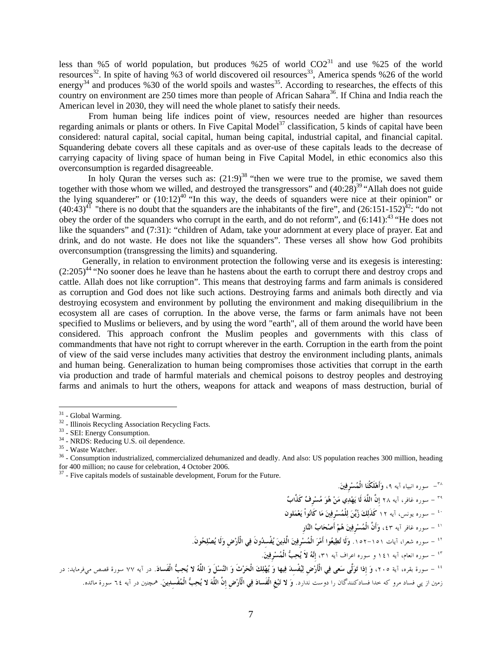less than %5 of world population, but produces %25 of world  $CO2<sup>31</sup>$  and use %25 of the world resources<sup>32</sup>. In spite of having %3 of world discovered oil resources<sup>33</sup>, America spends %26 of the world energy<sup>34</sup> and produces %30 of the world spoils and wastes<sup>35</sup>. According to researches, the effects of this country on environment are 250 times more than people of African Sahara<sup>36</sup>. If China and India reach the American level in 2030, they will need the whole planet to satisfy their needs.

From human being life indices point of view, resources needed are higher than resources regarding animals or plants or others. In Five Capital Model<sup>37</sup> classification, 5 kinds of capital have been considered: natural capital, social capital, human being capital, industrial capital, and financial capital. Squandering debate covers all these capitals and as over-use of these capitals leads to the decrease of carrying capacity of living space of human being in Five Capital Model, in ethic economics also this overconsumption is regarded disagreeable.

In holy Quran the verses such as:  $(21.9)^{38}$  "then we were true to the promise, we saved them together with those whom we willed, and destroyed the transgressors" and  $(40:28)^{39}$  "Allah does not guide the lying squanderer" or  $(10:12)^{40}$  "In this way, the deeds of squanders were nice at their opinion" or  $(40:43)^{41}$  "there is no doubt that the squanders are the inhabitants of the fire", and  $(26:151-152)^{42}$ : "do not obey the order of the squanders who corrupt in the earth, and do not reform", and  $(6:141)$ :<sup>43</sup> "He does not like the squanders" and (7:31): "children of Adam, take your adornment at every place of prayer. Eat and drink, and do not waste. He does not like the squanders". These verses all show how God prohibits overconsumption (transgressing the limits) and squandering.

Generally, in relation to environment protection the following verse and its exegesis is interesting:  $(2:205)^{44}$  "No sooner does he leave than he hastens about the earth to corrupt there and destroy crops and cattle. Allah does not like corruption". This means that destroying farms and farm animals is considered as corruption and God does not like such actions. Destroying farms and animals both directly and via destroying ecosystem and environment by polluting the environment and making disequilibrium in the ecosystem all are cases of corruption. In the above verse, the farms or farm animals have not been specified to Muslims or believers, and by using the word "earth", all of them around the world have been considered. This approach confront the Muslim peoples and governments with this class of commandments that have not right to corrupt wherever in the earth. Corruption in the earth from the point of view of the said verse includes many activities that destroy the environment including plants, animals and human being. Generalization to human being compromises those activities that corrupt in the earth via production and trade of harmful materials and chemical poisons to destroy peoples and destroying farms and animals to hurt the others, weapons for attack and weapons of mass destruction, burial of

 $\overline{a}$ 

- سوره انبياء آيه **،**٩ **وَأَهْلَكْنَا الْمُسْرِفِين.َ** <sup>٣٨</sup>

- سوره غافر، آيه ٢٨ **إِنَّ اللَّهَ لَا يَهْدِي مَنْ هُوَ مُسْرِفٌ كَذَّابٌ** <sup>٣٩</sup> - سوره يونس، آيه ١٢ **كَذَلِكَ زُيِّنَ لِلْمُسْرِفِينَ مَا كَانُواْ يَعْمَلون** <sup>٤٠</sup> - سوره غافر آيه ،٤٣ **وَأَنَّ الْمُسْرِفِينَ هُمْ أَصْحَابُ النَّارِ** <sup>٤١</sup> - سوره شعرا، آيات .١٥٢-١٥١ **وَلَا تُطِيعُوا أَمْرَ الْمُسْرِفِينَ الَّذِينَ يُفْسِدُونَ فِي الْأَرْضِ وَلَا يُصْلِحُونَ.** <sup>٤٢</sup> - سوره انعام، آيه ١٤١ و سوره اعراف آيه **،**٣١ **إِنَّهُ لاَ يُحِبُّ الْمُسْرِفِين.َ** <sup>٤٣</sup> - سورة بقره، آية ،٢٠٥ **وَ إِذا تَوَلَّى سَعى فِي الْأَرْضِ لِيُفْسِدَ فِيها وَ يُهْلِكَ الْحَرْثَ وَ النَّسْلَ وَ اللَّهُ لا يُحِبُّ الْفَساد**.**َ** در آيه ٧٧ سورة قصص ميفرمايد: در <sup>٤٤</sup> زمين از پي فساد مرو كه خدا فسادكنندگان را دوست ندارد. **وَ لا تَبْغِ الْفَسادَ فِي الْأَرْضِ إِنَّ اللَّهَ لا يُحِبُّ الْمُفْسِدِين**.**َ** همچنين در آيه ٦٤ سورة مائده.

<sup>&</sup>lt;sup>31</sup> - Global Warming.

 $32 - 1$ Ilinois Recycling Association Recycling Facts.<br> $33 - SEI$ : Energy Consumption.

<sup>&</sup>lt;sup>34</sup> - NRDS: Reducing U.S. oil dependence.<br><sup>35</sup> - Waste Watcher.

 $36$  - Consumption industrialized, commercialized dehumanized and deadly. And also: US population reaches 300 million, heading for 400 million; no cause for celebration, 4 October 2006.

 $37$  - Five capitals models of sustainable development, Forum for the Future.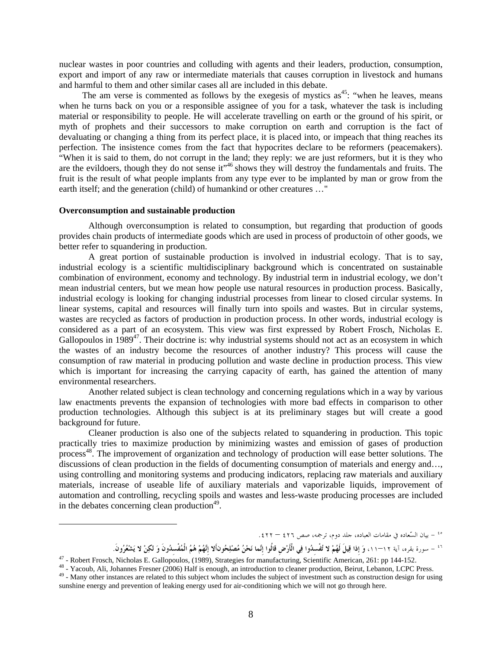nuclear wastes in poor countries and colluding with agents and their leaders, production, consumption, export and import of any raw or intermediate materials that causes corruption in livestock and humans and harmful to them and other similar cases all are included in this debate.

The am verse is commented as follows by the exegesis of mystics  $as^{45}$ : "when he leaves, means when he turns back on you or a responsible assignee of you for a task, whatever the task is including material or responsibility to people. He will accelerate travelling on earth or the ground of his spirit, or myth of prophets and their successors to make corruption on earth and corruption is the fact of devaluating or changing a thing from its perfect place, it is placed into, or impeach that thing reaches its perfection. The insistence comes from the fact that hypocrites declare to be reformers (peacemakers). "When it is said to them, do not corrupt in the land; they reply: we are just reformers, but it is they who are the evildoers, though they do not sense it"<sup>46</sup> shows they will destroy the fundamentals and fruits. The fruit is the result of what people implants from any type ever to be implanted by man or grow from the earth itself; and the generation (child) of humankind or other creatures …"

# **Overconsumption and sustainable production**

Although overconsumption is related to consumption, but regarding that production of goods provides chain products of intermediate goods which are used in process of productoin of other goods, we better refer to squandering in production.

A great portion of sustainable production is involved in industrial ecology. That is to say, industrial ecology is a scientific multidisciplinary background which is concentrated on sustainable combination of environment, economy and technology. By industrial term in industrial ecology, we don't mean industrial centers, but we mean how people use natural resources in production process. Basically, industrial ecology is looking for changing industrial processes from linear to closed circular systems. In linear systems, capital and resources will finally turn into spoils and wastes. But in circular systems, wastes are recycled as factors of production in production process. In other words, industrial ecology is considered as a part of an ecosystem. This view was first expressed by Robert Frosch, Nicholas E. Gallopoulos in  $1989^{47}$ . Their doctrine is: why industrial systems should not act as an ecosystem in which the wastes of an industry become the resources of another industry? This process will cause the consumption of raw material in producing pollution and waste decline in production process. This view which is important for increasing the carrying capacity of earth, has gained the attention of many environmental researchers.

Another related subject is clean technology and concerning regulations which in a way by various law enactments prevents the expansion of technologies with more bad effects in comparison to other production technologies. Although this subject is at its preliminary stages but will create a good background for future.

Cleaner production is also one of the subjects related to squandering in production. This topic practically tries to maximize production by minimizing wastes and emission of gases of production process<sup>48</sup>. The improvement of organization and technology of production will ease better solutions. The discussions of clean production in the fields of documenting consumption of materials and energy and…, using controlling and monitoring systems and producing indicators, replacing raw materials and auxiliary materials, increase of useable life of auxiliary materials and vaporizable liquids, improvement of automation and controlling, recycling spoils and wastes and less-waste producing processes are included in the debates concerning clean production $49$ .

<sup>-</sup> بيان السّعاده في مقامات العباده، جلد دوم، ترجمه، صص <sup>٤٢٦</sup> – .<sup>٤٢٢</sup> <sup>٤٥</sup>

نَّ – سورة بقره، آية ١٢–١١، وَ إِذا قِيلَ لَهُمْ لا تُفْسِدُوا فِي الْأَرْضِ قَالُوا إِنَّما نَحْنُ مُصْلِحُونألا إِنَّهُمْ هُمُ الْمُفْسِدُونَ وَ لَكِنْ لا يَشْعُرُونَ.<br>25-Robert Frosch, Nicholas E. Gallopoulos, (1989),

<sup>&</sup>lt;sup>48</sup> - Yacoub, Ali, Johannes Fresner (2006) Half is enough, an introduction to cleaner production, Beirut, Lebanon, LCPC Press.<br><sup>49</sup> - Many other instances are related to this subject whom includes the subject of investme sunshine energy and prevention of leaking energy used for air-conditioning which we will not go through here.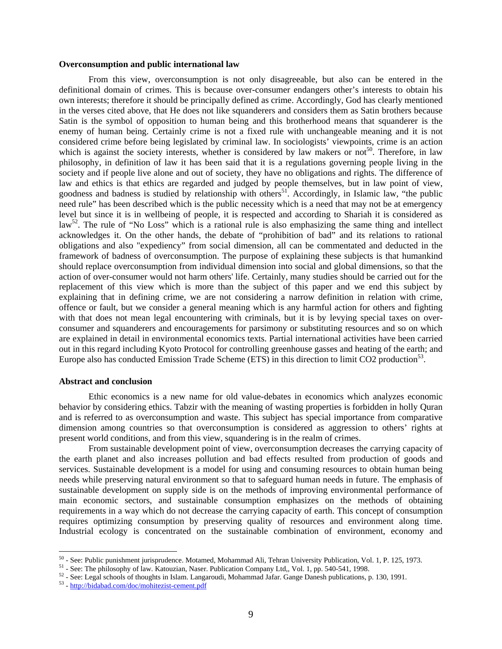#### **Overconsumption and public international law**

From this view, overconsumption is not only disagreeable, but also can be entered in the definitional domain of crimes. This is because over-consumer endangers other's interests to obtain his own interests; therefore it should be principally defined as crime. Accordingly, God has clearly mentioned in the verses cited above, that He does not like squanderers and considers them as Satin brothers because Satin is the symbol of opposition to human being and this brotherhood means that squanderer is the enemy of human being. Certainly crime is not a fixed rule with unchangeable meaning and it is not considered crime before being legislated by criminal law. In sociologists' viewpoints, crime is an action which is against the society interests, whether is considered by law makers or not<sup>50</sup>. Therefore, in law philosophy, in definition of law it has been said that it is a regulations governing people living in the society and if people live alone and out of society, they have no obligations and rights. The difference of law and ethics is that ethics are regarded and judged by people themselves, but in law point of view, goodness and badness is studied by relationship with others<sup>51</sup>. Accordingly, in Islamic law, "the public need rule" has been described which is the public necessity which is a need that may not be at emergency level but since it is in wellbeing of people, it is respected and according to Shariah it is considered as  $\text{law}^{52}$ . The rule of "No Loss" which is a rational rule is also emphasizing the same thing and intellect acknowledges it. On the other hands, the debate of "prohibition of bad" and its relations to rational obligations and also "expediency" from social dimension, all can be commentated and deducted in the framework of badness of overconsumption. The purpose of explaining these subjects is that humankind should replace overconsumption from individual dimension into social and global dimensions, so that the action of over-consumer would not harm others' life. Certainly, many studies should be carried out for the replacement of this view which is more than the subject of this paper and we end this subject by explaining that in defining crime, we are not considering a narrow definition in relation with crime, offence or fault, but we consider a general meaning which is any harmful action for others and fighting with that does not mean legal encountering with criminals, but it is by levying special taxes on overconsumer and squanderers and encouragements for parsimony or substituting resources and so on which are explained in detail in environmental economics texts. Partial international activities have been carried out in this regard including Kyoto Protocol for controlling greenhouse gasses and heating of the earth; and Europe also has conducted Emission Trade Scheme (ETS) in this direction to limit CO2 production<sup>53</sup>.

# **Abstract and conclusion**

Ethic economics is a new name for old value-debates in economics which analyzes economic behavior by considering ethics. Tabzir with the meaning of wasting properties is forbidden in holly Quran and is referred to as overconsumption and waste. This subject has special importance from comparative dimension among countries so that overconsumption is considered as aggression to others' rights at present world conditions, and from this view, squandering is in the realm of crimes.

From sustainable development point of view, overconsumption decreases the carrying capacity of the earth planet and also increases pollution and bad effects resulted from production of goods and services. Sustainable development is a model for using and consuming resources to obtain human being needs while preserving natural environment so that to safeguard human needs in future. The emphasis of sustainable development on supply side is on the methods of improving environmental performance of main economic sectors, and sustainable consumption emphasizes on the methods of obtaining requirements in a way which do not decrease the carrying capacity of earth. This concept of consumption requires optimizing consumption by preserving quality of resources and environment along time. Industrial ecology is concentrated on the sustainable combination of environment, economy and

<sup>&</sup>lt;sup>50</sup> - See: Public punishment jurisprudence. Motamed, Mohammad Ali, Tehran University Publication, Vol. 1, P. 125, 1973.

<sup>&</sup>lt;sup>51</sup> - See: The philosophy of law. Katouzian, Naser. Publication Company Ltd., Vol. 1, pp. 540-541, 1998.<br><sup>52</sup> - See: Legal schools of thoughts in Islam. Langaroudi, Mohammad Jafar. Gange Danesh publications, p. 130, 1991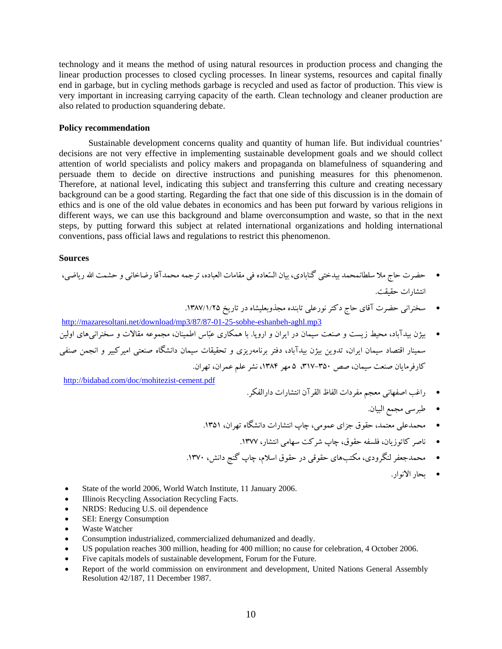technology and it means the method of using natural resources in production process and changing the linear production processes to closed cycling processes. In linear systems, resources and capital finally end in garbage, but in cycling methods garbage is recycled and used as factor of production. This view is very important in increasing carrying capacity of the earth. Clean technology and cleaner production are also related to production squandering debate.

# **Policy recommendation**

Sustainable development concerns quality and quantity of human life. But individual countries' decisions are not very effective in implementing sustainable development goals and we should collect attention of world specialists and policy makers and propaganda on blamefulness of squandering and persuade them to decide on directive instructions and punishing measures for this phenomenon. Therefore, at national level, indicating this subject and transferring this culture and creating necessary background can be a good starting. Regarding the fact that one side of this discussion is in the domain of ethics and is one of the old value debates in economics and has been put forward by various religions in different ways, we can use this background and blame overconsumption and waste, so that in the next steps, by putting forward this subject at related international organizations and holding international conventions, pass official laws and regulations to restrict this phenomenon.

### **Sources**

- حضرت حاج ملا سلطانمحمد بيدختي گنابادي، بيان السعاده في مقامات العباده، ترجمه محمدآقا رضاخاني و حشمت االله رياضي، انتشارات حقيقت.
	- سخنراني حضرت آقاي حاج دكترنورعلي تابنده مجذوبعليشاه در تاريخ .1387/1/25

http://mazaresoltani.net/download/mp3/87/87-01-25-sobhe-eshanbeh-aghl.mp3

 بيژن بيدآباد، محيط زيست و صنعت سيمان در ايران و اروپا. با همكاري عباس اطمينان، مجموعه مقالات و سخنرانيهاي اولين سمينار اقتصاد سيمان ايران، تدوين بيژن بيدآباد، دفتر برنامهريزي و تحقيقات سيمان دانشگاه صنعتي اميركبير و انجمن صنفي كارفرمايان صنعت سيمان، صص ٣٥٠-٣١٧، ۵ مهر ١٣٨۴، نشر علم عمران، تهران.

http://bidabad.com/doc/mohitezist-cement.pdf

- راغب اصفهاني معجم مفردات الفاظ القرآن انتشارات دارالفكر.
	- طبرسي مجمع البيان.
- محمدعلي معتمد، حقوق جزاي عمومي، چاپ انتشارات دانشگاه تهران، .1351
	- ناصر كاتوزيان، فلسفه حقوق، چاپ شركت سهامي انتشار، .1377
- محمدجعفرلنگرودي، مكتبهاي حقوقي در حقوق اسلام، چاپ گنج دانش، .1370
	- بحار الانوار.

- State of the world 2006, World Watch Institute, 11 January 2006.
- Illinois Recycling Association Recycling Facts.
- NRDS: Reducing U.S. oil dependence
- SEI: Energy Consumption
- Waste Watcher
- Consumption industrialized, commercialized dehumanized and deadly.
- US population reaches 300 million, heading for 400 million; no cause for celebration, 4 October 2006.
- Five capitals models of sustainable development, Forum for the Future.
- Report of the world commission on environment and development, United Nations General Assembly Resolution 42/187, 11 December 1987.